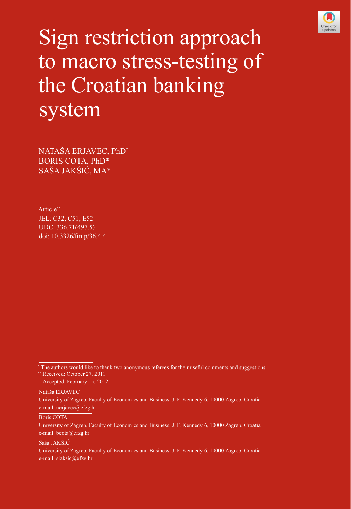

# Sign restriction approach to macro stress-testing of the Croatian banking system

NATAŠA ERJAVEC, PhD\* BORIS COTA, PhD\* SAŠA JAKŠIĆ, MA\*

Article\*\* JEL: C32, C51, E52 UDC: 336.71(497.5) doi: 10.3326/fintp/36.4.4

Nataša ERJAVEC

University of Zagreb, Faculty of Economics and Business, J. F. Kennedy 6, 10000 Zagreb, Croatia e-mail: nerjavec@efzg.hr

Boris COTA

University of Zagreb, Faculty of Economics and Business, J. F. Kennedy 6, 10000 Zagreb, Croatia e-mail: bcota@efzg.hr

Saša JAKŠIĆ

University of Zagreb, Faculty of Economics and Business, J. F. Kennedy 6, 10000 Zagreb, Croatia e-mail: sjaksic@efzg.hr

<sup>\*</sup> The authors would like to thank two anonymous referees for their useful comments and suggestions. \*\* Received: October 27, 2011

Accepted: February 15, 2012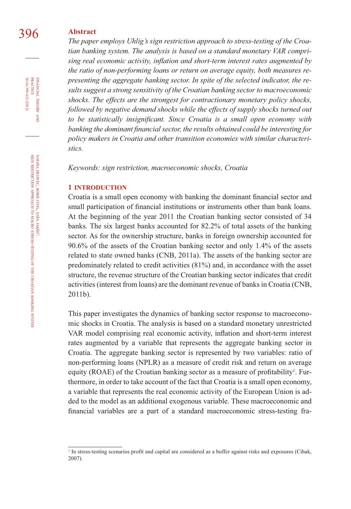## 396 **Abstract**

*The paper employs Uhlig's sign restriction approach to stress-testing of the Croatian banking system. The analysis is based on a standard monetary VAR compri*sing real economic activity, inflation and short-term interest rates augmented by *the ratio of non-performing loans or return on average equity, both measures representing the aggregate banking sector. In spite of the selected indicator, the results suggest a strong sensitivity of the Croatian banking sector to macroeconomic shocks. The effects are the strongest for contractionary monetary policy shocks, followed by negative demand shocks while the effects of supply shocks turned out to be statistically insignificant. Since Croatia is a small open economy with* banking the dominant financial sector, the results obtained could be interesting for *policy makers in Croatia and other transition economies with similar characteristics.* 

*Keywords: sign restriction, macroeconomic shocks, Croatia*

#### **1 INTRODUCTION**

Croatia is a small open economy with banking the dominant financial sector and small participation of financial institutions or instruments other than bank loans. At the beginning of the year 2011 the Croatian banking sector consisted of 34 banks. The six largest banks accounted for 82.2% of total assets of the banking sector. As for the ownership structure, banks in foreign ownership accounted for 90.6% of the assets of the Croatian banking sector and only 1.4% of the assets related to state owned banks (CNB, 2011a). The assets of the banking sector are predominately related to credit activities (81%) and, in accordance with the asset structure, the revenue structure of the Croatian banking sector indicates that credit activities (interest from loans) are the dominant revenue of banks in Croatia (CNB, 2011b).

This paper investigates the dynamics of banking sector response to macroeconomic shocks in Croatia. The analysis is based on a standard monetary unrestricted VAR model comprising real economic activity, inflation and short-term interest rates augmented by a variable that represents the aggregate banking sector in Croatia. The aggregate banking sector is represented by two variables: ratio of non-performing loans (NPLR) as a measure of credit risk and return on average equity (ROAE) of the Croatian banking sector as a measure of profitability<sup>1</sup>. Furthermore, in order to take account of the fact that Croatia is a small open economy, a variable that represents the real economic activity of the European Union is added to the model as an additional exogenous variable. These macroeconomic and financial variables are a part of a standard macroeconomic stress-testing fra-

36 (4) 395-412 (2012) FINANCIAL THEORY AND PRACTICE 36 (4) 395-412 (2012) PRACTICE FINANCIAL THEORY

<sup>&</sup>lt;sup>1</sup> In stress-testing scenarios profit and capital are considered as a buffer against risks and exposures (Cihak, 2007).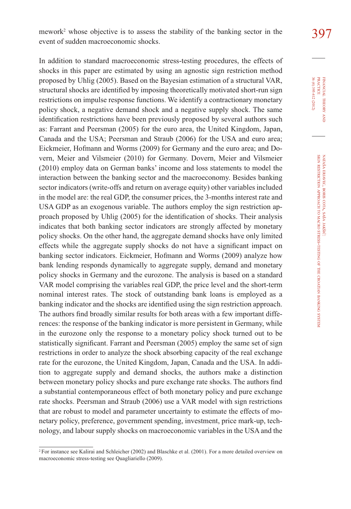In addition to standard macroeconomic stress-testing procedures, the effects of shocks in this paper are estimated by using an agnostic sign restriction method proposed by Uhlig (2005). Based on the Bayesian estimation of a structural VAR, structural shocks are identified by imposing theoretically motivated short-run sign restrictions on impulse response functions. We identify a contractionary monetary policy shock, a negative demand shock and a negative supply shock. The same identification restrictions have been previously proposed by several authors such as: Farrant and Peersman (2005) for the euro area, the United Kingdom, Japan, Canada and the USA; Peersman and Straub (2006) for the USA and euro area; Eickmeier, Hofmann and Worms (2009) for Germany and the euro area; and Dovern, Meier and Vilsmeier (2010) for Germany. Dovern, Meier and Vilsmeier (2010) employ data on German banks' income and loss statements to model the interaction between the banking sector and the macroeconomy. Besides banking sector indicators (write-offs and return on average equity) other variables included in the model are: the real GDP, the consumer prices, the 3-months interest rate and USA GDP as an exogenous variable. The authors employ the sign restriction approach proposed by Uhlig (2005) for the identification of shocks. Their analysis indicates that both banking sector indicators are strongly affected by monetary policy shocks. On the other hand, the aggregate demand shocks have only limited effects while the aggregate supply shocks do not have a significant impact on banking sector indicators. Eickmeier, Hofmann and Worms (2009) analyze how bank lending responds dynamically to aggregate supply, demand and monetary policy shocks in Germany and the eurozone. The analysis is based on a standard VAR model comprising the variables real GDP, the price level and the short-term nominal interest rates. The stock of outstanding bank loans is employed as a banking indicator and the shocks are identified using the sign restriction approach. The authors find broadly similar results for both areas with a few important differences: the response of the banking indicator is more persistent in Germany, while in the eurozone only the response to a monetary policy shock turned out to be statistically significant. Farrant and Peersman (2005) employ the same set of sign restrictions in order to analyze the shock absorbing capacity of the real exchange rate for the eurozone, the United Kingdom, Japan, Canada and the USA. In addition to aggregate supply and demand shocks, the authors make a distinction between monetary policy shocks and pure exchange rate shocks. The authors find a substantial contemporaneous effect of both monetary policy and pure exchange rate shocks. Peersman and Straub (2006) use a VAR model with sign restrictions that are robust to model and parameter uncertainty to estimate the effects of monetary policy, preference, government spending, investment, price mark-up, technology, and labour supply shocks on macroeconomic variables in the USA and the

PRACTICE<br>36 (4) 395-412 (2012) PRACTICE FINANCIAL THEORY FINANCIAL 36 (4) 395-412 (2012) THEORY AND

<sup>2</sup> For instance see Kalirai and Schleicher (2002) and Blaschke et al. (2001). For a more detailed overview on macroeconomic stress-testing see Quagliariello (2009).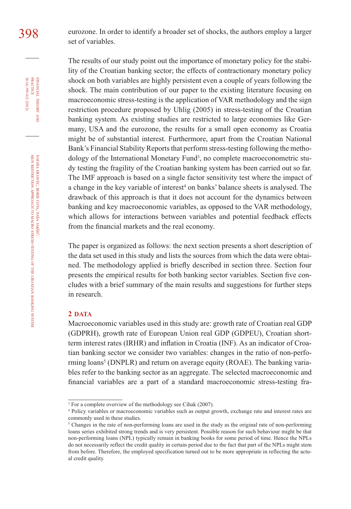398 eurozone. In order to identify a broader set of shocks, the authors employ a larger set of variables.

> The results of our study point out the importance of monetary policy for the stability of the Croatian banking sector; the effects of contractionary monetary policy shock on both variables are highly persistent even a couple of years following the shock. The main contribution of our paper to the existing literature focusing on macroeconomic stress-testing is the application of VAR methodology and the sign restriction procedure proposed by Uhlig (2005) in stress-testing of the Croatian banking system. As existing studies are restricted to large economies like Germany, USA and the eurozone, the results for a small open economy as Croatia might be of substantial interest. Furthermore, apart from the Croatian National Bank's Financial Stability Reports that perform stress-testing following the methodology of the International Monetary Fund<sup>3</sup>, no complete macroeconometric study testing the fragility of the Croatian banking system has been carried out so far. The IMF approach is based on a single factor sensitivity test where the impact of a change in the key variable of interest<sup>4</sup> on banks' balance sheets is analysed. The drawback of this approach is that it does not account for the dynamics between banking and key macroeconomic variables, as opposed to the VAR methodology, which allows for interactions between variables and potential feedback effects from the financial markets and the real economy.

> The paper is organized as follows: the next section presents a short description of the data set used in this study and lists the sources from which the data were obtained. The methodology applied is briefly described in section three. Section four presents the empirical results for both banking sector variables. Section five concludes with a brief summary of the main results and suggestions for further steps in research.

#### **2 DATA**

Macroeconomic variables used in this study are: growth rate of Croatian real GDP (GDPRH), growth rate of European Union real GDP (GDPEU), Croatian shortterm interest rates (IRHR) and inflation in Croatia (INF). As an indicator of Croatian banking sector we consider two variables: changes in the ratio of non-performing loans<sup>5</sup> (DNPLR) and return on average equity (ROAE). The banking variables refer to the banking sector as an aggregate. The selected macroeconomic and financial variables are a part of a standard macroeconomic stress-testing fra-

36 (4) 395-412 (2012) FINANCIAL THEORY<br>PRACTICE 36 (4) 395-412 (2012) PRACTICE FINANCIAL THEORY **AND** 

<sup>&</sup>lt;sup>3</sup> For a complete overview of the methodology see Cihak (2007).

<sup>4</sup> Policy variables or macroeconomic variables such as output growth, exchange rate and interest rates are commonly used in these studies.

<sup>&</sup>lt;sup>5</sup> Changes in the rate of non-performing loans are used in the study as the original rate of non-performing loans series exhibited strong trends and is very persistent. Possible reason for such behaviour might be that non-performing loans (NPL) typically remain in banking books for some period of time. Hence the NPLs do not necessarily reflect the credit quality in certain period due to the fact that part of the NPLs might stem from before. Therefore, the employed specification turned out to be more appropriate in reflecting the actual credit quality.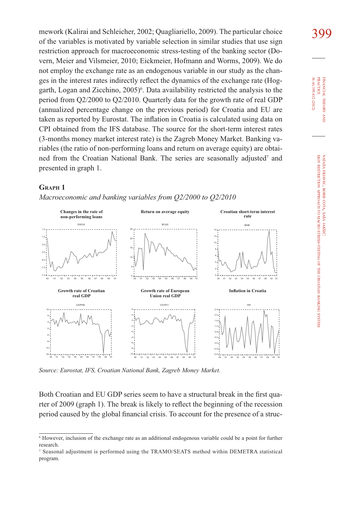mework (Kalirai and Schleicher, 2002; Quagliariello, 2009). The particular choice 309 of the variables is motivated by variable selection in similar studies that use sign restriction approach for macroeconomic stress-testing of the banking sector (Dovern, Meier and Vilsmeier, 2010; Eickmeier, Hofmann and Worms, 2009). We do not employ the exchange rate as an endogenous variable in our study as the changes in the interest rates indirectly reflect the dynamics of the exchange rate (Hoggarth, Logan and Zicchino, 2005)<sup>6</sup>. Data availability restricted the analysis to the period from Q2/2000 to Q2/2010. Quarterly data for the growth rate of real GDP (annualized percentage change on the previous period) for Croatia and EU are taken as reported by Eurostat. The inflation in Croatia is calculated using data on CPI obtained from the IFS database. The source for the short-term interest rates (3-months money market interest rate) is the Zagreb Money Market. Banking variables (the ratio of non-performing loans and return on average equity) are obtained from the Croatian National Bank. The series are seasonally adjusted<sup>7</sup> and presented in graph 1.

#### **GRAPH 1**

-1.5  $0.0 0.5<sup>1</sup>$ 1.0  $1.5 -$ DNPLR 4 8 12 16 20 24 00 01 02 03 04 05 06 07 08 09 ROAE 0 4 6 8 10 14 00 01 02 03 04 05 06 07 08 09 IRHR -16 -12 -8 -4 4 8 12 00 01 02 03 04 05 06 07 08 09 GDPHR -10 -8 -6 -4 -2 4 6 GD PEU -0.8 -0.4 0.0 0.4 0.8 1.2 1.6 2.0 2.4 00 01 02 03 04 05 06 07 08 09 INF 00 01 02 03 04 05 06 07 08 09 10 10 10 00 01 02 03 04 05 06 07 08 09 10 00 01 02 03 04 05 06 07 08 09 10 10 10 00 01 02 03 04 05 06 07 08 09 10 **Changes in the rate of non-performing loans Return on average equity Croatian short-term interest rate Growth rate of Croatian real GDP Growth rate of European Union real GDP Infl ation in Croatia**

*Macroeconomic and banking variables from Q2/2000 to Q2/2010*

*Source: Eurostat, IFS, Croatian National Bank, Zagreb Money Market.*

Both Croatian and EU GDP series seem to have a structural break in the first quarter of 2009 (graph 1). The break is likely to reflect the beginning of the recession period caused by the global financial crisis. To account for the presence of a struc-

10

<sup>6</sup> However, inclusion of the exchange rate as an additional endogenous variable could be a point for further research.

<sup>7</sup> Seasonal adjustment is performed using the TRAMO/SEATS method within DEMETRA statistical program.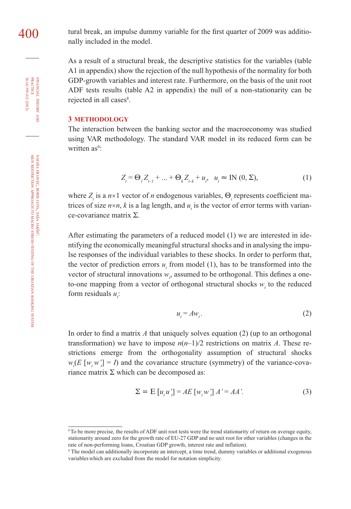FINANCIAL THEORY AND PRACTICE 36 (4) 395-412 (2012) 36 (4) 395-412 (2012) PRACTICE FINANCIAL THEORY

 $400$  tural break, an impulse dummy variable for the first quarter of 2009 was additionally included in the model.

> As a result of a structural break, the descriptive statistics for the variables (table A1 in appendix) show the rejection of the null hypothesis of the normality for both GDP-growth variables and interest rate. Furthermore, on the basis of the unit root ADF tests results (table A2 in appendix) the null of a non-stationarity can be rejected in all cases<sup>8</sup>.

#### **3 METHODOLOGY**

The interaction between the banking sector and the macroeconomy was studied using VAR methodology. The standard VAR model in its reduced form can be written as<sup>9</sup>:

$$
Z_{t} = \Theta_{t} Z_{t-1} + ... + \Theta_{k} Z_{t-k} + u_{t}, \quad u_{t} \approx \text{IN}(0, \Sigma),
$$
 (1)

where  $Z<sub>i</sub>$  is a  $n \times 1$  vector of *n* endogenous variables,  $\Theta<sub>i</sub>$  represents coefficient matrices of size  $n \times n$ , k is a lag length, and  $u_t$  is the vector of error terms with variance-covariance matrix Σ.

After estimating the parameters of a reduced model (1) we are interested in identifying the economically meaningful structural shocks and in analysing the impulse responses of the individual variables to these shocks. In order to perform that, the vector of prediction errors  $u_t$  from model (1), has to be transformed into the vector of structural innovations  $w_t$ , assumed to be orthogonal. This defines a oneto-one mapping from a vector of orthogonal structural shocks  $w_t$  to the reduced form residuals  $u_i$ :

$$
u_t = Aw_t. \tag{2}
$$

In order to find a matrix  $A$  that uniquely solves equation (2) (up to an orthogonal transformation) we have to impose  $n(n-1)/2$  restrictions on matrix A. These restrictions emerge from the orthogonality assumption of structural shocks  $w_t(E \left[ w_t w_t' \right] = I)$  and the covariance structure (symmetry) of the variance-covariance matrix  $\Sigma$  which can be decomposed as:

$$
\Sigma = E[u_{i}u_{i}'] = AE[v_{i}w_{i}']A' = AA'. \tag{3}
$$

<sup>&</sup>lt;sup>8</sup> To be more precise, the results of ADF unit root tests were the trend stationarity of return on average equity, stationarity around zero for the growth rate of EU-27 GDP and no unit root for other variables (changes in the rate of non-performing loans, Croatian GDP growth, interest rate and inflation).

<sup>9</sup> The model can additionally incorporate an intercept, a time trend, dummy variables or additional exogenous variableswhich are excluded from the model for notation simplicity.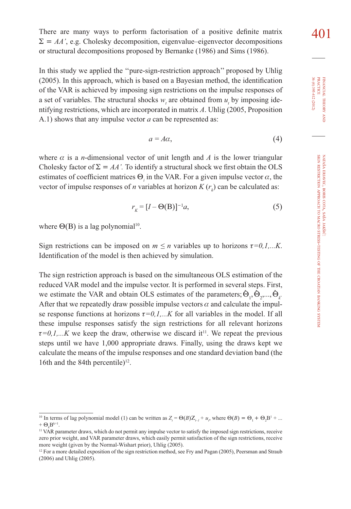FINANCIAL FINANCIAL THEORY AND PRACTICE<br>PRACTICE<br>36 (4) 395-412 (2012) 36 (4) 395-412 (2012) PRACTICE

THEORY

 $(2005)$ . In this approach, which is based on a Bayesian method, the identification of the VAR is achieved by imposing sign restrictions on the impulse responses of a set of variables. The structural shocks  $w_t$  are obtained from  $u_t$  by imposing identifying restrictions, which are incorporated in matrix *A*. Uhlig (2005, Proposition A.1) shows that any impulse vector *a* can be represented as:

In this study we applied the ''pure-sign-restriction approach'' proposed by Uhlig

$$
a = A\alpha,\tag{4}
$$

where  $\alpha$  is a *n*-dimensional vector of unit length and  $\alpha$  is the lower triangular Cholesky factor of  $\Sigma = AA'$ . To identify a structural shock we first obtain the OLS estimates of coefficient matrices  $\Theta_i$  in the VAR. For a given impulse vector  $\alpha$ , the vector of impulse responses of *n* variables at horizon  $K(r_k)$  can be calculated as:

$$
r_{K} = [I - \Theta(\mathbf{B})]^{-1} a,\tag{5}
$$

where  $\Theta$ (B) is a lag polynomial<sup>10</sup>.

Sign restrictions can be imposed on  $m \le n$  variables up to horizons  $\tau = 0, 1, \dots K$ . Identification of the model is then achieved by simulation.

The sign restriction approach is based on the simultaneous OLS estimation of the reduced VAR model and the impulse vector. It is performed in several steps. First, we estimate the VAR and obtain OLS estimates of the parameters;  $\hat{\Theta}_1$ ,  $\hat{\Theta}_2$ ,...,  $\hat{\Theta}_k$ After that we repeatedly draw possible impulse vectors  $\alpha$  and calculate the impulse response functions at horizons  $\tau=0,1,...K$  for all variables in the model. If all these impulse responses satisfy the sign restrictions for all relevant horizons  $\tau=0,1,...K$  we keep the draw, otherwise we discard it<sup>11</sup>. We repeat the previous steps until we have 1,000 appropriate draws. Finally, using the draws kept we calculate the means of the impulse responses and one standard deviation band (the 16th and the 84th percentile)<sup>12</sup>.

<sup>&</sup>lt;sup>10</sup> In terms of lag polynomial model (1) can be written as  $Z_t = \Theta(B)Z_{t-1} + u_t$ , where  $\Theta(B) = \Theta_1 + \Theta_2 B^1 + ...$  $+ \Theta$   $B^{k+1}$ .

<sup>&</sup>lt;sup>11</sup> VAR parameter draws, which do not permit any impulse vector to satisfy the imposed sign restrictions, receive zero prior weight, and VAR parameter draws, which easily permit satisfaction of the sign restrictions, receive more weight (given by the Normal-Wishart prior), Uhlig (2005).

<sup>&</sup>lt;sup>12</sup> For a more detailed exposition of the sign restriction method, see Fry and Pagan (2005), Peersman and Straub (2006) and Uhlig (2005).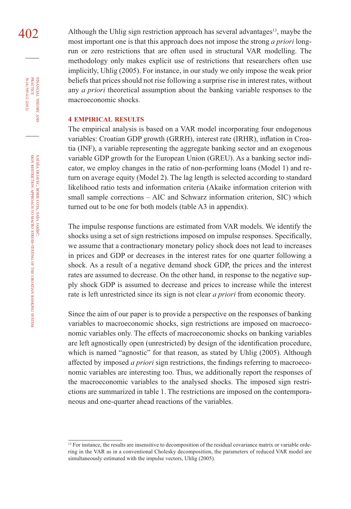$402$  Although the Uhlig sign restriction approach has several advantages<sup>13</sup>, maybe the most important one is that this approach does not impose the strong *a priori* longrun or zero restrictions that are often used in structural VAR modelling. The methodology only makes explicit use of restrictions that researchers often use implicitly, Uhlig (2005). For instance, in our study we only impose the weak prior beliefs that prices should not rise following a surprise rise in interest rates, without any *a priori* theoretical assumption about the banking variable responses to the macroeconomic shocks.

#### **4 EMPIRICAL RESULTS**

The empirical analysis is based on a VAR model incorporating four endogenous variables: Croatian GDP growth (GRRH), interest rate (IRHR), inflation in Croatia (INF), a variable representing the aggregate banking sector and an exogenous variable GDP growth for the European Union (GREU). As a banking sector indicator, we employ changes in the ratio of non-performing loans (Model 1) and return on average equity (Model 2). The lag length is selected according to standard likelihood ratio tests and information criteria (Akaike information criterion with small sample corrections – AIC and Schwarz information criterion, SIC) which turned out to be one for both models (table A3 in appendix).

The impulse response functions are estimated from VAR models. We identify the shocks using a set of sign restrictions imposed on impulse responses. Specifically, we assume that a contractionary monetary policy shock does not lead to increases in prices and GDP or decreases in the interest rates for one quarter following a shock. As a result of a negative demand shock GDP, the prices and the interest rates are assumed to decrease. On the other hand, in response to the negative supply shock GDP is assumed to decrease and prices to increase while the interest rate is left unrestricted since its sign is not clear *a priori* from economic theory.

Since the aim of our paper is to provide a perspective on the responses of banking variables to macroeconomic shocks, sign restrictions are imposed on macroeconomic variables only. The effects of macroeconomic shocks on banking variables are left agnostically open (unrestricted) by design of the identification procedure, which is named "agnostic" for that reason, as stated by Uhlig (2005). Although affected by imposed *a priori* sign restrictions, the findings referring to macroeconomic variables are interesting too. Thus, we additionally report the responses of the macroeconomic variables to the analysed shocks. The imposed sign restrictions are summarized in table 1. The restrictions are imposed on the contemporaneous and one-quarter ahead reactions of the variables.

FINANCIAL

36 (4) 395-412 (2012)

THEORY FINANCIAL THEORY AND PRACTICE 36 (4) 395-412 (2012) PRACTICE

<sup>&</sup>lt;sup>13</sup> For instance, the results are insensitive to decomposition of the residual covariance matrix or variable ordering in the VAR as in a conventional Cholesky decomposition, the parameters of reduced VAR model are simultaneously estimated with the impulse vectors, Uhlig (2005).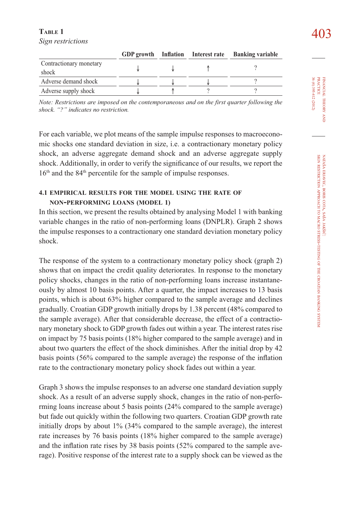### $\frac{1}{403}$   $\frac{403}{403}$ *Sign restrictions*

|                         |  | GDP growth Inflation Interest rate Banking variable |  |
|-------------------------|--|-----------------------------------------------------|--|
| Contractionary monetary |  |                                                     |  |
| shock                   |  |                                                     |  |
| Adverse demand shock    |  |                                                     |  |
| Adverse supply shock    |  |                                                     |  |

*Note: Restrictions are imposed on the contemporaneous and on the first quarter following the shock. "?" indicates no restriction.*

For each variable, we plot means of the sample impulse responses to macroeconomic shocks one standard deviation in size, i.e. a contractionary monetary policy shock, an adverse aggregate demand shock and an adverse aggregate supply shock. Additionally, in order to verify the significance of our results, we report the 16<sup>th</sup> and the 84<sup>th</sup> percentile for the sample of impulse responses.

## **4.1 EMPIRICAL RESULTS FOR THE MODEL USING THE RATE OF NON-PERFORMING LOANS (MODEL 1)**

In this section, we present the results obtained by analysing Model 1 with banking variable changes in the ratio of non-performing loans (DNPLR). Graph 2 shows the impulse responses to a contractionary one standard deviation monetary policy shock.

The response of the system to a contractionary monetary policy shock (graph 2) shows that on impact the credit quality deteriorates. In response to the monetary policy shocks, changes in the ratio of non-performing loans increase instantaneously by almost 10 basis points. After a quarter, the impact increases to 13 basis points, which is about 63% higher compared to the sample average and declines gradually. Croatian GDP growth initially drops by 1.38 percent (48% compared to the sample average). After that considerable decrease, the effect of a contractionary monetary shock to GDP growth fades out within a year. The interest rates rise on impact by 75 basis points (18% higher compared to the sample average) and in about two quarters the effect of the shock diminishes. After the initial drop by 42 basis points  $(56\%$  compared to the sample average) the response of the inflation rate to the contractionary monetary policy shock fades out within a year.

Graph 3 shows the impulse responses to an adverse one standard deviation supply shock. As a result of an adverse supply shock, changes in the ratio of non-performing loans increase about 5 basis points (24% compared to the sample average) but fade out quickly within the following two quarters. Croatian GDP growth rate initially drops by about 1% (34% compared to the sample average), the interest rate increases by 76 basis points (18% higher compared to the sample average) and the inflation rate rises by 38 basis points  $(52\%$  compared to the sample average). Positive response of the interest rate to a supply shock can be viewed as the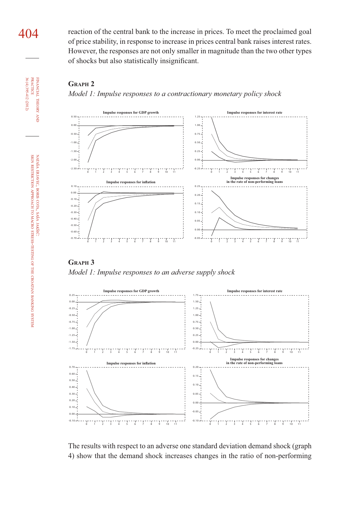404 reaction of the central bank to the increase in prices. To meet the proclaimed goal of price stability, in response to increase in prices central bank raises interest rates. However, the responses are not only smaller in magnitude than the two other types of shocks but also statistically insignificant.





**GRAPH 3**  *Model 1: Impulse responses to an adverse supply shock*



The results with respect to an adverse one standard deviation demand shock (graph 4) show that the demand shock increases changes in the ratio of non-performing

CROATIAN

BANKING

SYSTEM

FINANCIAL

**FINANCIAL**<br>PRACTICE 36 (4) 395-412 (2012) **THEORY** 

36 (4) 395-412 (2012) PRACTICE

THEORY AND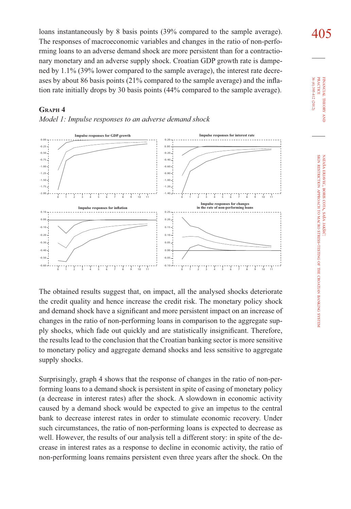loans instantaneously by 8 basis points (39% compared to the sample average).  $\frac{405}{105}$ The responses of macroeconomic variables and changes in the ratio of non-performing loans to an adverse demand shock are more persistent than for a contractionary monetary and an adverse supply shock. Croatian GDP growth rate is dampened by 1.1% (39% lower compared to the sample average), the interest rate decreases by about 86 basis points  $(21\%$  compared to the sample average) and the inflation rate initially drops by 30 basis points (44% compared to the sample average).

### **GRAPH 4**





The obtained results suggest that, on impact, all the analysed shocks deteriorate the credit quality and hence increase the credit risk. The monetary policy shock and demand shock have a significant and more persistent impact on an increase of changes in the ratio of non-performing loans in comparison to the aggregate supply shocks, which fade out quickly and are statistically insignificant. Therefore, the results lead to the conclusion that the Croatian banking sector is more sensitive to monetary policy and aggregate demand shocks and less sensitive to aggregate supply shocks.

Surprisingly, graph 4 shows that the response of changes in the ratio of non-performing loans to a demand shock is persistent in spite of easing of monetary policy (a decrease in interest rates) after the shock. A slowdown in economic activity caused by a demand shock would be expected to give an impetus to the central bank to decrease interest rates in order to stimulate economic recovery. Under such circumstances, the ratio of non-performing loans is expected to decrease as well. However, the results of our analysis tell a different story: in spite of the decrease in interest rates as a response to decline in economic activity, the ratio of non-performing loans remains persistent even three years after the shock. On the

36 (4) 395-412 (2012) **PRACTICE** PRACTICE FINANCIAL 36 (4) 395-412 (2012) FINANCIAL THEORY THEORY AND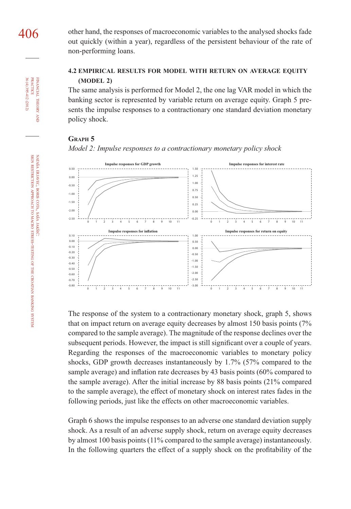**FINANCIAL**<br>PRACTICE 36 (4) 395-412 (2012) 36 (4) 395-412 (2012) PRACTICE FINANCIAL **THEORY** THEORY AND

> NATAŠA ERJAVEC, SIGN RESTRICTION ERJAVEC, BORIS **BORIS COTA,** APPROACH COTA, SAŠA TO SASA JAKŠIĆ: MACRO STRESS-TESTING OF THE CROATIAN BANKING SYSTEM

406 other hand, the responses of macroeconomic variables to the analysed shocks fade out quickly (within a year), regardless of the persistent behaviour of the rate of non-performing loans.

## **4.2 EMPIRICAL RESULTS FOR MODEL WITH RETURN ON AVERAGE EQUITY (MODEL 2)**

The same analysis is performed for Model 2, the one lag VAR model in which the banking sector is represented by variable return on average equity. Graph 5 presents the impulse responses to a contractionary one standard deviation monetary policy shock.

## **GRAPH 5**





The response of the system to a contractionary monetary shock, graph 5, shows that on impact return on average equity decreases by almost 150 basis points (7% compared to the sample average). The magnitude of the response declines over the subsequent periods. However, the impact is still significant over a couple of years. Regarding the responses of the macroeconomic variables to monetary policy shocks, GDP growth decreases instantaneously by 1.7% (57% compared to the sample average) and inflation rate decreases by 43 basis points  $(60\%$  compared to the sample average). After the initial increase by 88 basis points (21% compared to the sample average), the effect of monetary shock on interest rates fades in the following periods, just like the effects on other macroeconomic variables.

Graph 6 shows the impulse responses to an adverse one standard deviation supply shock. As a result of an adverse supply shock, return on average equity decreases by almost 100 basis points (11% compared to the sample average) instantaneously. In the following quarters the effect of a supply shock on the profitability of the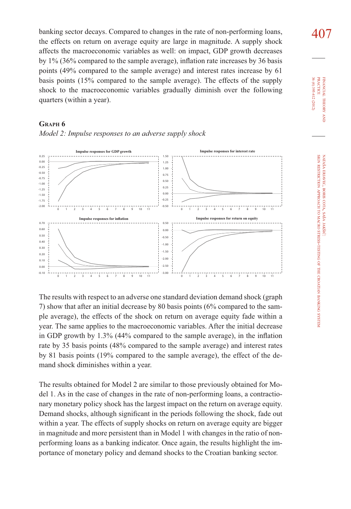banking sector decays. Compared to changes in the rate of non-performing loans,  $407$ the effects on return on average equity are large in magnitude. A supply shock affects the macroeconomic variables as well: on impact, GDP growth decreases by  $1\%$  (36% compared to the sample average), inflation rate increases by 36 basis points (49% compared to the sample average) and interest rates increase by 61 basis points (15% compared to the sample average). The effects of the supply shock to the macroeconomic variables gradually diminish over the following quarters (within a year).

## **GRAPH 6** *Model 2: Impulse responses to an adverse supply shock*



The results with respect to an adverse one standard deviation demand shock (graph 7) show that after an initial decrease by 80 basis points (6% compared to the sample average), the effects of the shock on return on average equity fade within a year. The same applies to the macroeconomic variables. After the initial decrease in GDP growth by  $1.3\%$  (44% compared to the sample average), in the inflation rate by 35 basis points (48% compared to the sample average) and interest rates by 81 basis points (19% compared to the sample average), the effect of the demand shock diminishes within a year.

The results obtained for Model 2 are similar to those previously obtained for Model 1. As in the case of changes in the rate of non-performing loans, a contractionary monetary policy shock has the largest impact on the return on average equity. Demand shocks, although significant in the periods following the shock, fade out within a year. The effects of supply shocks on return on average equity are bigger in magnitude and more persistent than in Model 1 with changes in the ratio of nonperforming loans as a banking indicator. Once again, the results highlight the importance of monetary policy and demand shocks to the Croatian banking sector.

36 (4) 395-412 (2012) **PRACTICE** PRACTICE FINANCIAL 36 (4) 395-412 (2012) FINANCIAL THEORY THEORY AND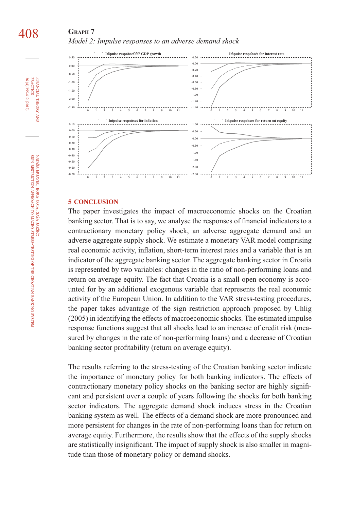## **GRAPH 7** *Model 2: Impulse responses to an adverse demand shock*



#### **5 CONCLUSION**

The paper investigates the impact of macroeconomic shocks on the Croatian banking sector. That is to say, we analyse the responses of financial indicators to a contractionary monetary policy shock, an adverse aggregate demand and an adverse aggregate supply shock. We estimate a monetary VAR model comprising real economic activity, inflation, short-term interest rates and a variable that is an indicator of the aggregate banking sector. The aggregate banking sector in Croatia is represented by two variables: changes in the ratio of non-performing loans and return on average equity. The fact that Croatia is a small open economy is accounted for by an additional exogenous variable that represents the real economic activity of the European Union. In addition to the VAR stress-testing procedures, the paper takes advantage of the sign restriction approach proposed by Uhlig (2005) in identifying the effects of macroeconomic shocks. The estimated impulse response functions suggest that all shocks lead to an increase of credit risk (measured by changes in the rate of non-performing loans) and a decrease of Croatian banking sector profitability (return on average equity).

The results referring to the stress-testing of the Croatian banking sector indicate the importance of monetary policy for both banking indicators. The effects of contractionary monetary policy shocks on the banking sector are highly significant and persistent over a couple of years following the shocks for both banking sector indicators. The aggregate demand shock induces stress in the Croatian banking system as well. The effects of a demand shock are more pronounced and more persistent for changes in the rate of non-performing loans than for return on average equity. Furthermore, the results show that the effects of the supply shocks are statistically insignificant. The impact of supply shock is also smaller in magnitude than those of monetary policy or demand shocks.

FINANCIAL

36 (4) 395-412 (2012) PRACTICE

36 (4) 395-412 (2012) **PRACTICE** FINANCIAL THEORY

THEORY AND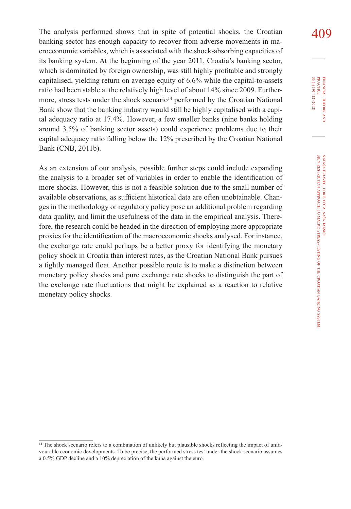The analysis performed shows that in spite of potential shocks, the Croatian  $409$ banking sector has enough capacity to recover from adverse movements in macroeconomic variables, which is associated with the shock-absorbing capacities of its banking system. At the beginning of the year 2011, Croatia's banking sector, which is dominated by foreign ownership, was still highly profitable and strongly capitalised, yielding return on average equity of 6.6% while the capital-to-assets ratio had been stable at the relatively high level of about 14% since 2009. Furthermore, stress tests under the shock scenario<sup>14</sup> performed by the Croatian National Bank show that the banking industry would still be highly capitalised with a capital adequacy ratio at 17.4%. However, a few smaller banks (nine banks holding around 3.5% of banking sector assets) could experience problems due to their capital adequacy ratio falling below the 12% prescribed by the Croatian National Bank (CNB, 2011b).

As an extension of our analysis, possible further steps could include expanding the analysis to a broader set of variables in order to enable the identification of more shocks. However, this is not a feasible solution due to the small number of available observations, as sufficient historical data are often unobtainable. Changes in the methodology or regulatory policy pose an additional problem regarding data quality, and limit the usefulness of the data in the empirical analysis. Therefore, the research could be headed in the direction of employing more appropriate proxies for the identification of the macroeconomic shocks analysed. For instance, the exchange rate could perhaps be a better proxy for identifying the monetary policy shock in Croatia than interest rates, as the Croatian National Bank pursues a tightly managed float. Another possible route is to make a distinction between monetary policy shocks and pure exchange rate shocks to distinguish the part of the exchange rate fluctuations that might be explained as a reaction to relative monetary policy shocks.

36 (4) 395-412 (2012) **PRACTICE** PRACTICE FINANCIAL THEORY FINANCIAL 36 (4) 395-412 (2012) THEORY AND

<sup>&</sup>lt;sup>14</sup> The shock scenario refers to a combination of unlikely but plausible shocks reflecting the impact of unfavourable economic developments. To be precise, the performed stress test under the shock scenario assumes a 0.5% GDP decline and a 10% depreciation of the kuna against the euro.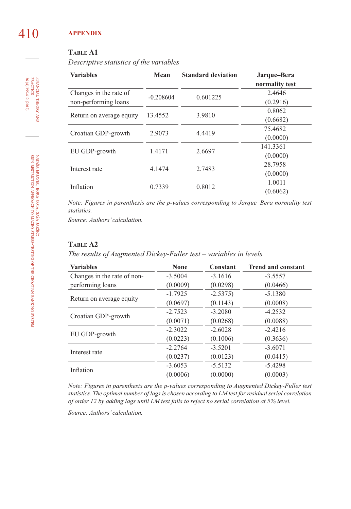# 410 **APPENDIX**

## **TABLE A1**

*Descriptive statistics of the variables*

| <b>Variables</b>       | Mean                                          | <b>Standard deviation</b> | Jarque-Bera<br>normality test |
|------------------------|-----------------------------------------------|---------------------------|-------------------------------|
| Changes in the rate of | $-0.208604$                                   | 0.601225                  | 2.4646                        |
| non-performing loans   |                                               |                           | (0.2916)                      |
|                        | 13.4552<br>3.9810<br>Return on average equity |                           | 0.8062                        |
|                        |                                               |                           | (0.6682)                      |
| Croatian GDP-growth    | 2.9073                                        | 4.4419                    | 75.4682                       |
|                        |                                               |                           | (0.0000)                      |
| EU GDP-growth          | 1.4171                                        | 2.6697                    | 141.3361                      |
|                        |                                               |                           | (0.0000)                      |
| Interest rate          | 4.1474                                        | 2.7483                    | 28.7958                       |
|                        |                                               |                           | (0.0000)                      |
| Inflation              | 0.7339                                        | 0.8012                    | 1.0011                        |
|                        |                                               |                           | (0.6062)                      |

*Note: Figures in parenthesis are the p-values corresponding to Jarque–Bera normality test statistics.*

*Source: Authors' calculation.*

## **TABLE A2**

*The results of Augmented Dickey-Fuller test – variables in levels*

| <b>Variables</b>            | <b>None</b> | Constant  | <b>Trend and constant</b> |
|-----------------------------|-------------|-----------|---------------------------|
| Changes in the rate of non- | $-3.5004$   | $-3.1616$ | $-3.5557$                 |
| performing loans            | (0.0009)    | (0.0298)  | (0.0466)                  |
|                             | $-1.7925$   | $-2.5375$ | $-5.1380$                 |
| Return on average equity    | (0.0697)    | (0.1143)  | (0.0008)                  |
| Croatian GDP-growth         | $-2.7523$   | $-3.2080$ | $-4.2532$                 |
|                             | (0.0071)    | (0.0268)  | (0.0088)                  |
|                             | $-2.3022$   | $-2.6028$ | $-2.4216$                 |
| EU GDP-growth               | (0.0223)    | (0.1006)  | (0.3636)                  |
| Interest rate               | $-2.2764$   | $-3.5201$ | $-3.6071$                 |
|                             | (0.0237)    | (0.0123)  | (0.0415)                  |
|                             | $-3.6053$   | $-5.5132$ | $-5.4298$                 |
| Inflation                   | (0.0006)    | (0.0000)  | (0.0003)                  |

*Note: Figures in parenthesis are the p-values corresponding to Augmented Dickey-Fuller test statistics. The optimal number of lags is chosen according to LM test for residual serial correlation of order 12 by adding lags until LM test fails to reject no serial correlation at 5% level.*

*Source: Authors' calculation.*

36 (4) 395-412 (2012) FINANCIAL THEORY AND PRACTICE 36 (4) 395-412 (2012) PRACTICE FINANCIAL THEORY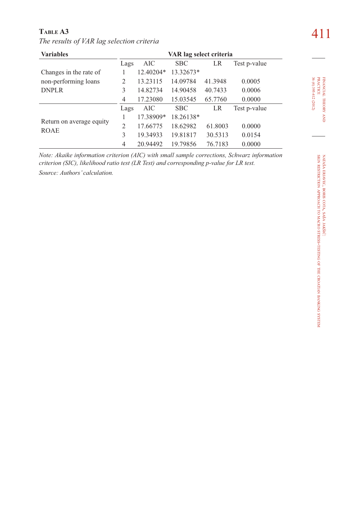| TABLE A3                                  | 411 |
|-------------------------------------------|-----|
| The results of VAR lag selection criteria |     |

| <b>Variables</b>                        | VAR lag select criteria |           |            |         |              |
|-----------------------------------------|-------------------------|-----------|------------|---------|--------------|
|                                         | Lags                    | AIC       | <b>SBC</b> | LR      | Test p-value |
| Changes in the rate of                  |                         | 12.40204* | 13.32673*  |         |              |
| non-performing loans                    | 2                       | 13.23115  | 14.09784   | 41.3948 | 0.0005       |
| <b>DNPLR</b>                            | 3                       | 14.82734  | 14.90458   | 40.7433 | 0.0006       |
|                                         | 4                       | 17.23080  | 15.03545   | 65.7760 | 0.0000       |
|                                         | Lags                    | AIC       | <b>SBC</b> | LR      | Test p-value |
| Return on average equity<br><b>ROAE</b> |                         | 17.38909* | 18.26138*  |         |              |
|                                         | $\overline{c}$          | 17.66775  | 18.62982   | 61.8003 | 0.0000       |
|                                         | 3                       | 19.34933  | 19.81817   | 30.5313 | 0.0154       |
|                                         | 4                       | 20.94492  | 19.79856   | 76.7183 | 0.0000       |

*Note: Akaike information criterion (AIC) with small sample corrections, Schwarz information criterion (SIC), likelihood ratio test (LR Test) and corresponding p-value for LR test. Source: Authors' calculation.*

FINANCIAL

THEORY FINANCIAL THEORY AND<br>PRACTICE<br>36 (4) 395-412 (2012) 36 (4) 395-412 (2012) PRACTICE